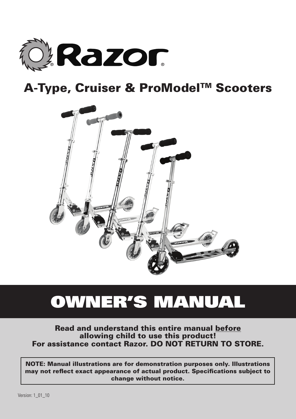

# A-Type, Cruiser & ProModel<sup>™</sup> Scooters



# Owner's Manual

Read and understand this entire manual before allowing child to use this product! For assistance contact Razor. DO NOT RETURN TO STORE.

NOTE: Manual illustrations are for demonstration purposes only. Illustrations may not reflect exact appearance of actual product. Specifications subject to change without notice.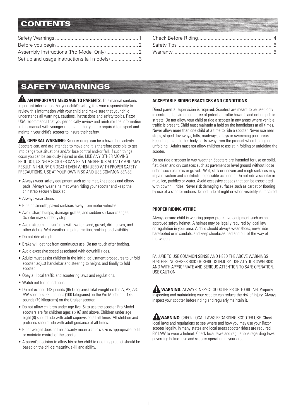# **CONTENTS**

| Set up and usage instructions (all models)3 |  |
|---------------------------------------------|--|

# Safety Warnings

**AN IMPORTANT MESSAGE TO PARENTS:** This manual contains important information. For your child's safety, it is your responsibility to review this information with your child and make sure that your child understands all warnings, cautions, instructions and safety topics. Razor USA recommends that you periodically review and reinforce the information in this manual with younger riders and that you are required to inspect and maintain your child's scooter to insure their safety.

**AL GENERAL WARNING:** Scooter riding can be a hazardous activity. Scooters can, and are intended to move and it is therefore possible to get into dangerous situations and/or lose control and/or fall. If such things occur you can be seriously injured or die. LIKE ANY OTHER MOVING PRODUCT, USING A SCOOTER CAN BE A DANGEROUS ACTIVITY AND MAY RESULT IN INJURY OR DEATH EVEN WHEN USED WITH PROPER SAFETY PRECAUTIONS. USE AT YOUR OWN RISK AND USE COMMON SENSE.

- Always wear safety equipment such as helmet, knee pads and elbow pads. Always wear a helmet when riding your scooter and keep the chinstrap securely buckled.
- Always wear shoes.
- Ride on smooth, paved surfaces away from motor vehicles.
- Avoid sharp bumps, drainage grates, and sudden surface changes. Scooter may suddenly stop.
- Avoid streets and surfaces with water, sand, gravel, dirt, leaves, and other debris. Wet weather impairs traction, braking, and visibility.
- Do not ride at night.
- Brake will get hot from continuous use. Do not touch after braking.
- Avoid excessive speed associated with downhill rides.
- Adults must assist children in the initial adjustment procedures to unfold scooter, adjust handlebar and steering to height, and finally to fold scooter.
- Obey all local traffic and scootering laws and regulations.
- Watch out for pedestrians.
- Do not exceed 143 pounds (65 kilograms) total weight on the A, A2, A3, AW scooters. 220 pounds (100 kilograms) on the Pro Model and 175 pounds (79 kilograms) on the Cruiser scooter.
- Do not allow children under age five (5) to use the scooter. Pro Model scooters are for children ages six (6) and above. Children under age eight (8) should ride with adult supervision at all times. All children and preteens should ride with adult guidance at all times.
- Rider weight does not necessarily mean a child's size is appropriate to fit or maintain control of the scooter.
- A parent's decision to allow his or her child to ride this product should be based on the child's maturity, skill and ability.

#### **ACCEPTABLE RIDING PRACTICES AND CONDITIONS**

Direct parental supervision is required. Scooters are meant to be used only in controlled environments free of potential traffic hazards and not on public streets. Do not allow your child to ride a scooter in any areas where vehicle traffic is present. Child must maintain a hold on the handlebars at all times. Never allow more than one child at a time to ride a scooter. Never use near steps, sloped driveways, hills, roadways, alleys or swimming pool areas. Keep fingers and other body parts away from the product when folding or unfolding. Adults must not allow children to assist in folding or unfolding the scooter.

Do not ride a scooter in wet weather. Scooters are intended for use on solid, flat, clean and dry surfaces such as payement or level ground without loose debris such as rocks or gravel. Wet, slick or uneven and rough surfaces may impair traction and contribute to possible accidents. Do not ride a scooter in mud, ice, puddles or water. Avoid excessive speeds that can be associated with downhill rides. Never risk damaging surfaces such as carpet or flooring by use of a scooter indoors. Do not ride at night or when visibility is impaired.

#### **PROPER RIDING ATTIRE**

Always ensure child is wearing proper protective equipment such as an approved safety helmet. A helmet may be legally required by local law or regulation in your area. A child should always wear shoes, never ride barefooted or in sandals, and keep shoelaces tied and out of the way of the wheels.

FAILURE TO USE COMMON SENSE AND HEED THE ABOVE WARNINGS FURTHER INCREASES RISK OF SERIOUS INJURY. USE AT YOUR OWN RISK AND WITH APPROPRIATE AND SERIOUS ATTENTION TO SAFE OPERATION. USE CAUTION.

| WARNING: ALWAYS INSPECT SCOOTER PRIOR TO RIDING. Properly                     |
|-------------------------------------------------------------------------------|
| inspecting and maintaining your scooter can reduce the risk of injury. Always |
| inspect your scooter before riding and regularly maintain it.                 |

**WARNING:** CHECK LOCAL LAWS REGARDING SCOOTER USE. Check local laws and regulations to see where and how you may use your Razor scooter legally. In many states and local areas scooter riders are required BY LAW to wear a helmet. Check local laws and regulations regarding laws governing helmet use and scooter operation in your area.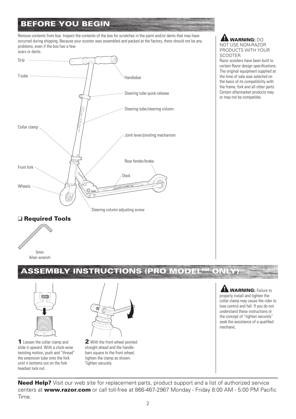# Before You Begin

Remove contents from box. Inspect the contents of the box for scratches in the paint and/or dents that may have occurred during shipping. Because your scooter was assembled and packed at the factory, there should not be any problems, even if the box has a few



**A WARNING: DO** NOT USE NON-RAZOR PRODUCTS WITH YOUR SCOOTER.

Razor scooters have been built to certain Razor design specifications. The original equipment supplied at the time of sale was selected on the basis of its compatibility with the frame, fork and all other parts. Certain aftermarket products may or may not be compatible.

#### □ Required Tools



## ASSEMBLY INSTRUCTIONS (PRO MODEL™ ONLY)



1 Loosen the collar clamp and slide it upward. With a clock-wise twisting motion, push and "thread" the extension tube onto the fork until it bottoms out on the fork headset lock nut.



2 With the front wheel pointed straight ahead and the handlebars square to the front wheel, tighten the clamp as shown. Tighten securely.

**AM WARNING:** Failure to properly install and tighten the collar clamp may cause the rider to lose control and fall. If you do not understand these instructions or the concept of "tighten securely" seek the assistance of a qualified mechanic.

Need Help? Visit our web site for replacement parts, product support and a list of authorized service centers at www.razor.com or call toll-free at 866-467-2967 Monday - Friday 8:00 AM - 5:00 PM Pacific Time.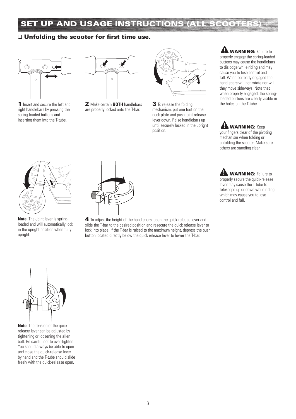# SET UP AND USAGE INSTRUCTIONS (ALL SCOOTERS

#### $\Box$  Unfolding the scooter for first time use.



1 Insert and secure the left and right handlebars by pressing the spring-loaded buttons and inserting them into the T-tube.



**2** Make certain **BOTH** handlebars **3** To release the folding the holes on the T-tube. are properly locked onto the T-bar.



3 To release the folding mechanism, put one foot on the deck plate and push joint release lever down. Raise handlebars up until securely locked in the upright position.



**A WARNING:** Keep your fingers clear of the pivoting mechanism when folding or unfolding the scooter. Make sure others are standing clear.

**A WARNING:** Failure to properly secure the quick-release lever may cause the T-tube to telescope up or down while riding which may cause you to lose

control and fall.



**Note:** The Joint lever is springloaded and will automatically lock in the upright position when fully upright.



4 To adjust the height of the handlebars, open the quick-release lever and slide the T-bar to the desired position and resecure the quick release lever to lock into place. If the T-bar is raised to the maximum height, depress the push button located directly below the quick release lever to lower the T-bar.



**Note:** The tension of the quickrelease lever can be adjusted by tightening or loosening the allen bolt. Be careful not to over-tighten. You should always be able to open and close the quick-release lever by hand and the T-tube should slide freely with the quick-release open.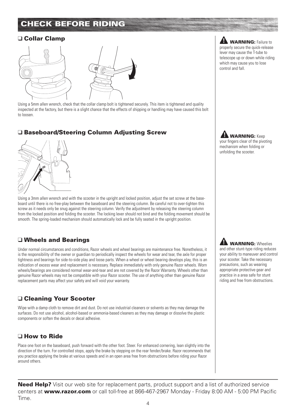# Check before riding

### q Collar Clamp



Using a 5mm allen wrench, check that the collar clamp bolt is tightened securely. This item is tightened and quality inspected at the factory, but there is a slight chance that the effects of shipping or handling may have caused this bolt to loosen.

### □ Baseboard/Steering Column Adjusting Screw



Using a 3mm allen wrench and with the scooter in the upright and locked position, adjust the set screw at the baseboard until there is no free-play between the baseboard and the steering column. Be careful not to over-tighten this screw as it needs only be snug against the steering column. Verify the adjustment by releasing the steering column from the locked position and folding the scooter. The locking lever should not bind and the folding movement should be smooth. The spring-loaded mechanism should automatically lock and be fully seated in the upright position.

## $\Box$  Wheels and Bearings

Under normal circumstances and conditions, Razor wheels and wheel bearings are maintenance free. Nonetheless, it is the responsibility of the owner or guardian to periodically inspect the wheels for wear and tear, the axle for proper tightness and bearings for side-to-side play and loose parts. When a wheel or wheel bearing develops play, this is an indication of excess wear and replacement is necessary. Replace immediately with only genuine Razor wheels. Worn wheels/bearings are considered normal wear-and-tear and are not covered by the Razor Warranty. Wheels other than genuine Razor wheels may not be compatible with your Razor scooter. The use of anything other than genuine Razor replacement parts may affect your safety and will void your warranty.

## □ Cleaning Your Scooter

Wipe with a damp cloth to remove dirt and dust. Do not use industrial cleaners or solvents as they may damage the surfaces. Do not use alcohol, alcohol-based or ammonia-based cleaners as they may damage or dissolve the plastic components or soften the decals or decal adhesive.

## $\Box$  How to Ride

Place one foot on the baseboard, push forward with the other foot. Steer. For enhanced cornering, lean slightly into the direction of the turn. For controlled stops, apply the brake by stepping on the rear fender/brake. Razor recommends that you practice applying the brake at various speeds and in an open area free from obstructions before riding your Razor around others.

**Need Help?** Visit our web site for replacement parts, product support and a list of authorized service centers at **www.razor.com** or call toll-free at 866-467-2967 Monday - Friday 8:00 AM - 5:00 PM Pacific Time.

**A WARNING:** Failure to properly secure the quick-release lever may cause the T-tube to telescope up or down while riding which may cause you to lose control and fall.

**LA WARNING:** Keep your fingers clear of the pivoting mechanism when folding or unfolding the scooter.

**AN WARNING: Wheelies** and other stunt-type riding reduces your ability to maneuver and control your scooter. Take the necessary precautions, such as wearing appropriate protective gear and practice in a area safe for stunt riding and free from obstructions.